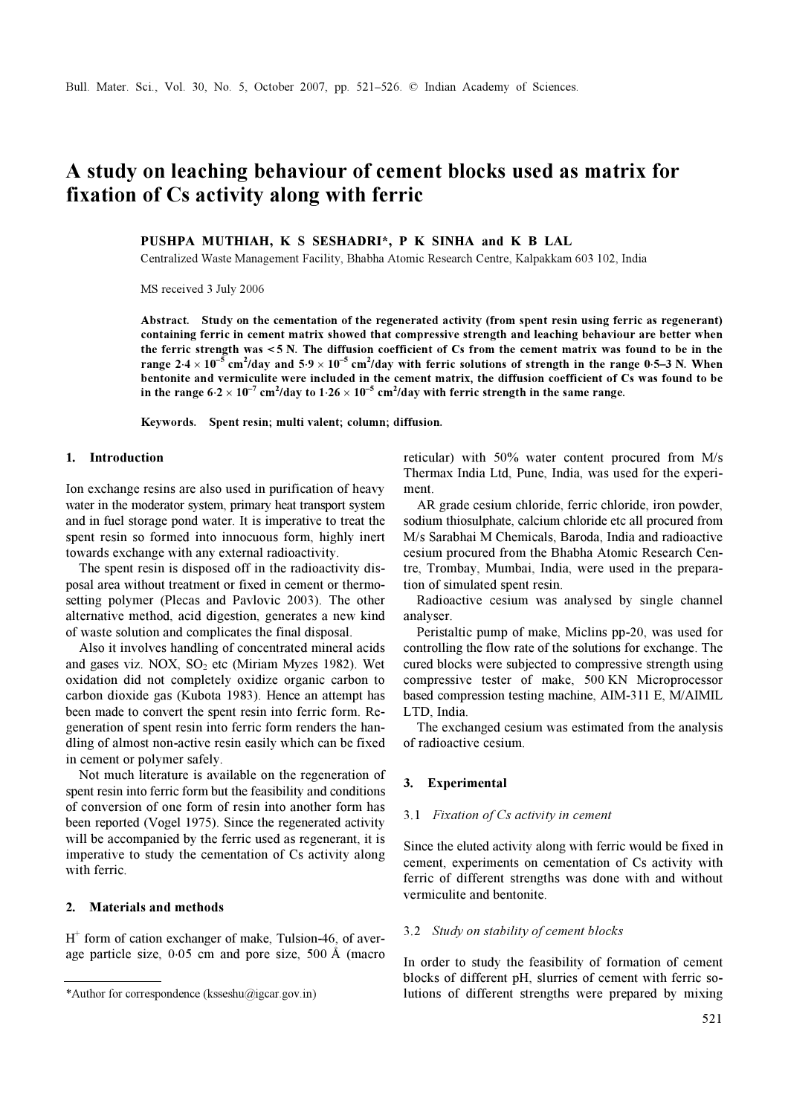# A study on leaching behaviour of cement blocks used as matrix for fixation of Cs activity along with ferric

PUSHPA MUTHIAH, K S SESHADRI\*, P K SINHA and K B LAL

Centralized Waste Management Facility, Bhabha Atomic Research Centre, Kalpakkam 603 102, India

MS received 3 July 2006

Abstract. Study on the cementation of the regenerated activity (from spent resin using ferric as regenerant) containing ferric in cement matrix showed that compressive strength and leaching behaviour are better when the ferric strength was < 5 N. The diffusion coefficient of Cs from the cement matrix was found to be in the range 2⋅4 × 10<sup>-5</sup> cm<sup>2</sup>/day and 5⋅9 × 10<sup>-5</sup> cm<sup>2</sup>/day with ferric solutions of strength in the range 0⋅5–3 N. When bentonite and vermiculite were included in the cement matrix, the diffusion coefficient of Cs was found to be in the range  $6.2 \times 10^{-7}$  cm<sup>2</sup>/day to  $1.26 \times 10^{-5}$  cm<sup>2</sup>/day with ferric strength in the same range.

Keywords. Spent resin; multi valent; column; diffusion.

## 1. Introduction

Ion exchange resins are also used in purification of heavy water in the moderator system, primary heat transport system and in fuel storage pond water. It is imperative to treat the spent resin so formed into innocuous form, highly inert towards exchange with any external radioactivity.

 The spent resin is disposed off in the radioactivity disposal area without treatment or fixed in cement or thermosetting polymer (Plecas and Pavlovic 2003). The other alternative method, acid digestion, generates a new kind of waste solution and complicates the final disposal.

 Also it involves handling of concentrated mineral acids and gases viz. NOX,  $SO_2$  etc (Miriam Myzes 1982). Wet oxidation did not completely oxidize organic carbon to carbon dioxide gas (Kubota 1983). Hence an attempt has been made to convert the spent resin into ferric form. Regeneration of spent resin into ferric form renders the handling of almost non-active resin easily which can be fixed in cement or polymer safely.

 Not much literature is available on the regeneration of spent resin into ferric form but the feasibility and conditions of conversion of one form of resin into another form has been reported (Vogel 1975). Since the regenerated activity will be accompanied by the ferric used as regenerant, it is imperative to study the cementation of Cs activity along with ferric.

# 2. Materials and methods

 $H<sup>+</sup>$  form of cation exchanger of make, Tulsion-46, of average particle size, 0⋅05 cm and pore size, 500 Å (macro reticular) with 50% water content procured from M/s Thermax India Ltd, Pune, India, was used for the experiment.

 AR grade cesium chloride, ferric chloride, iron powder, sodium thiosulphate, calcium chloride etc all procured from M/s Sarabhai M Chemicals, Baroda, India and radioactive cesium procured from the Bhabha Atomic Research Centre, Trombay, Mumbai, India, were used in the preparation of simulated spent resin.

 Radioactive cesium was analysed by single channel analyser.

 Peristaltic pump of make, Miclins pp-20, was used for controlling the flow rate of the solutions for exchange. The cured blocks were subjected to compressive strength using compressive tester of make, 500 KN Microprocessor based compression testing machine, AIM-311 E, M/AIMIL LTD, India.

 The exchanged cesium was estimated from the analysis of radioactive cesium.

#### 3. Experimental

#### 3.1 Fixation of Cs activity in cement

Since the eluted activity along with ferric would be fixed in cement, experiments on cementation of Cs activity with ferric of different strengths was done with and without vermiculite and bentonite.

#### 3.2 Study on stability of cement blocks

In order to study the feasibility of formation of cement blocks of different pH, slurries of cement with ferric so- \*Author for correspondence (ksseshu@igcar.gov.in) lutions of different strengths were prepared by mixing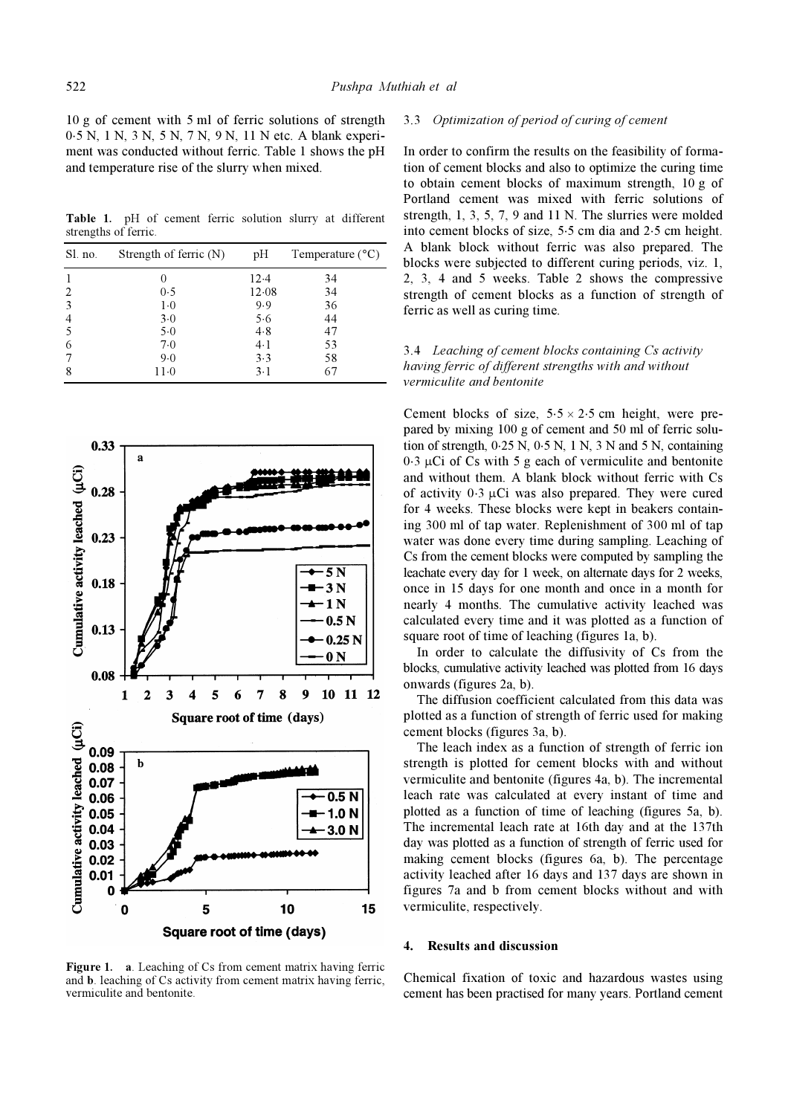10 g of cement with 5 ml of ferric solutions of strength 0⋅5 N, 1 N, 3 N, 5 N, 7 N, 9 N, 11 N etc. A blank experiment was conducted without ferric. Table 1 shows the pH and temperature rise of the slurry when mixed.

Table 1. pH of cement ferric solution slurry at different strengths of ferric.

| Sl. no.        | Strength of ferric $(N)$ | pH    | Temperature $(^{\circ}C)$ |  |
|----------------|--------------------------|-------|---------------------------|--|
|                |                          | 12.4  | 34                        |  |
| 2              | 0.5                      | 12.08 | 34                        |  |
| 3              | $1-0$                    | 9.9   | 36                        |  |
| $\overline{4}$ | 3.0                      | 5.6   | 44                        |  |
| 5              | 5.0                      | 4.8   | 47                        |  |
| 6              | 7.0                      | $4-1$ | 53                        |  |
| 7              | 9.0                      | 3.3   | 58                        |  |
| 8              | 11.0                     | $3-1$ | 67                        |  |



Figure 1. a. Leaching of Cs from cement matrix having ferric and b. leaching of Cs activity from cement matrix having ferric, vermiculite and bentonite.

## 3.3 Optimization of period of curing of cement

In order to confirm the results on the feasibility of formation of cement blocks and also to optimize the curing time to obtain cement blocks of maximum strength, 10 g of Portland cement was mixed with ferric solutions of strength, 1, 3, 5, 7, 9 and 11 N. The slurries were molded into cement blocks of size, 5⋅5 cm dia and 2⋅5 cm height. A blank block without ferric was also prepared. The blocks were subjected to different curing periods, viz. 1, 2, 3, 4 and 5 weeks. Table 2 shows the compressive strength of cement blocks as a function of strength of ferric as well as curing time.

## 3.4 Leaching of cement blocks containing Cs activity having ferric of different strengths with and without vermiculite and bentonite

Cement blocks of size,  $5.5 \times 2.5$  cm height, were prepared by mixing 100 g of cement and 50 ml of ferric solution of strength,  $0.25$  N,  $0.5$  N, 1 N, 3 N and 5 N, containing  $0.3 \mu$ Ci of Cs with 5 g each of vermiculite and bentonite and without them. A blank block without ferric with Cs of activity  $0.3 \mu$ Ci was also prepared. They were cured for 4 weeks. These blocks were kept in beakers containing 300 ml of tap water. Replenishment of 300 ml of tap water was done every time during sampling. Leaching of Cs from the cement blocks were computed by sampling the leachate every day for 1 week, on alternate days for 2 weeks, once in 15 days for one month and once in a month for nearly 4 months. The cumulative activity leached was calculated every time and it was plotted as a function of square root of time of leaching (figures 1a, b).

 In order to calculate the diffusivity of Cs from the blocks, cumulative activity leached was plotted from 16 days onwards (figures 2a, b).

 The diffusion coefficient calculated from this data was plotted as a function of strength of ferric used for making cement blocks (figures 3a, b).

 The leach index as a function of strength of ferric ion strength is plotted for cement blocks with and without vermiculite and bentonite (figures 4a, b). The incremental leach rate was calculated at every instant of time and plotted as a function of time of leaching (figures 5a, b). The incremental leach rate at 16th day and at the 137th day was plotted as a function of strength of ferric used for making cement blocks (figures 6a, b). The percentage activity leached after 16 days and 137 days are shown in figures 7a and b from cement blocks without and with vermiculite, respectively.

#### 4. Results and discussion

Chemical fixation of toxic and hazardous wastes using cement has been practised for many years. Portland cement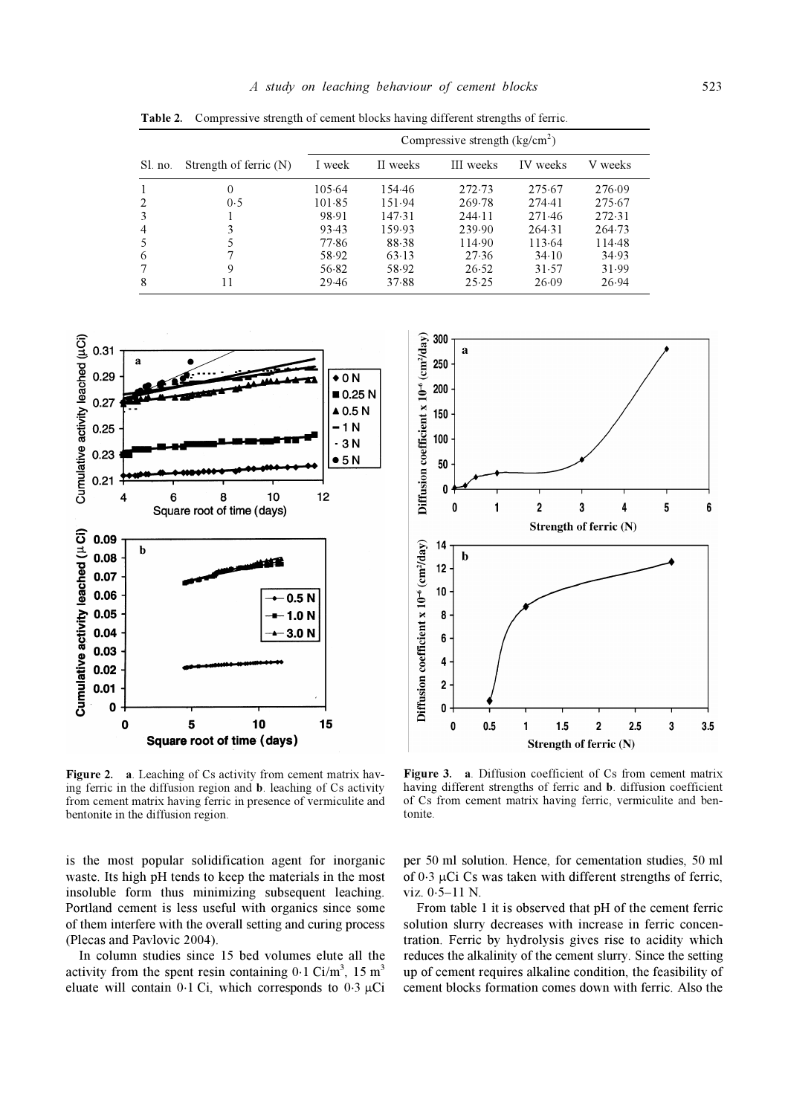|         |                          | Compressive strength $(kg/cm2)$ |          |           |          |         |
|---------|--------------------------|---------------------------------|----------|-----------|----------|---------|
| Sl. no. | Strength of ferric $(N)$ | I week                          | II weeks | III weeks | IV weeks | V weeks |
|         | $\Omega$                 | 105.64                          | 154.46   | 272.73    | 275.67   | 276.09  |
|         | 0.5                      | 101.85                          | 151.94   | 269.78    | 274.41   | 275.67  |
|         |                          | 98.91                           | 147.31   | 244.11    | 271.46   | 272.31  |
| 4       | 3                        | 93.43                           | 159.93   | 239.90    | 264.31   | 264.73  |
|         |                          | 77.86                           | 88.38    | 114.90    | 113.64   | 114.48  |
| 6       |                          | 58.92                           | 63.13    | 27.36     | 34.10    | 34.93   |
|         | 9                        | 56.82                           | 58.92    | 26.52     | 31.57    | 31.99   |
| 8       |                          | 29.46                           | 37.88    | 25.25     | 26.09    | 26.94   |

Table 2. Compressive strength of cement blocks having different strengths of ferric.





Figure 2. a. Leaching of Cs activity from cement matrix having ferric in the diffusion region and b. leaching of Cs activity from cement matrix having ferric in presence of vermiculite and bentonite in the diffusion region.

is the most popular solidification agent for inorganic waste. Its high pH tends to keep the materials in the most insoluble form thus minimizing subsequent leaching. Portland cement is less useful with organics since some of them interfere with the overall setting and curing process (Plecas and Pavlovic 2004).

 In column studies since 15 bed volumes elute all the activity from the spent resin containing  $0.1$  Ci/m<sup>3</sup>,  $15 \text{ m}^3$ eluate will contain 0⋅1 Ci, which corresponds to 0⋅3  $\mu$ Ci

having different strengths of ferric and b. diffusion coefficient of Cs from cement matrix having ferric, vermiculite and bentonite.

per 50 ml solution. Hence, for cementation studies, 50 ml of 0⋅3 μCi Cs was taken with different strengths of ferric, viz. 0⋅5–11 N.

 From table 1 it is observed that pH of the cement ferric solution slurry decreases with increase in ferric concentration. Ferric by hydrolysis gives rise to acidity which reduces the alkalinity of the cement slurry. Since the setting up of cement requires alkaline condition, the feasibility of cement blocks formation comes down with ferric. Also the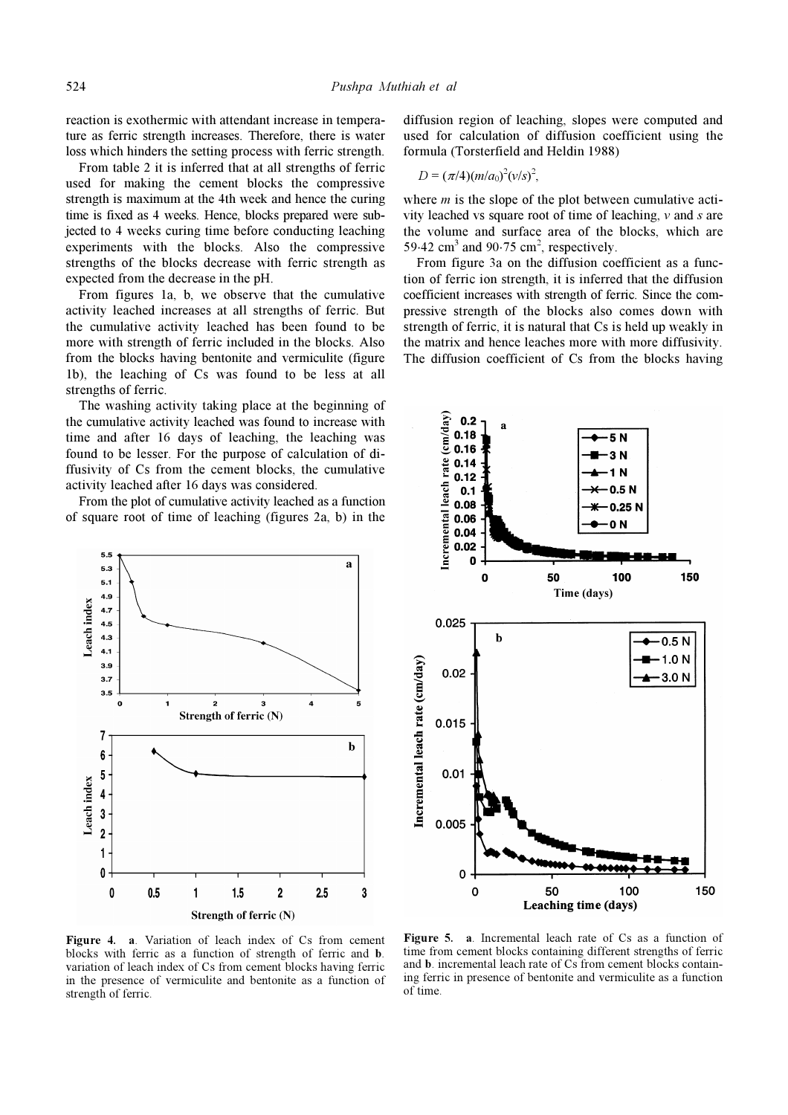reaction is exothermic with attendant increase in temperature as ferric strength increases. Therefore, there is water loss which hinders the setting process with ferric strength.

 From table 2 it is inferred that at all strengths of ferric used for making the cement blocks the compressive strength is maximum at the 4th week and hence the curing time is fixed as 4 weeks. Hence, blocks prepared were subjected to 4 weeks curing time before conducting leaching experiments with the blocks. Also the compressive strengths of the blocks decrease with ferric strength as expected from the decrease in the pH.

 From figures 1a, b, we observe that the cumulative activity leached increases at all strengths of ferric. But the cumulative activity leached has been found to be more with strength of ferric included in the blocks. Also from the blocks having bentonite and vermiculite (figure 1b), the leaching of Cs was found to be less at all strengths of ferric.

 The washing activity taking place at the beginning of the cumulative activity leached was found to increase with time and after 16 days of leaching, the leaching was found to be lesser. For the purpose of calculation of diffusivity of Cs from the cement blocks, the cumulative activity leached after 16 days was considered.

 From the plot of cumulative activity leached as a function of square root of time of leaching (figures 2a, b) in the



diffusion region of leaching, slopes were computed and used for calculation of diffusion coefficient using the formula (Torsterfield and Heldin 1988)

$$
D = (\pi/4)(m/a_0)^2 (v/s)^2,
$$

where  $m$  is the slope of the plot between cumulative activity leached vs square root of time of leaching,  $\nu$  and  $s$  are the volume and surface area of the blocks, which are 59⋅42 cm<sup>3</sup> and 90⋅75 cm<sup>2</sup>, respectively.

 From figure 3a on the diffusion coefficient as a function of ferric ion strength, it is inferred that the diffusion coefficient increases with strength of ferric. Since the compressive strength of the blocks also comes down with strength of ferric, it is natural that Cs is held up weakly in the matrix and hence leaches more with more diffusivity. The diffusion coefficient of Cs from the blocks having



Figure 4. a. Variation of leach index of Cs from cement blocks with ferric as a function of strength of ferric and b. variation of leach index of Cs from cement blocks having ferric in the presence of vermiculite and bentonite as a function of strength of ferric.

Figure 5. a. Incremental leach rate of Cs as a function of time from cement blocks containing different strengths of ferric and b. incremental leach rate of Cs from cement blocks containing ferric in presence of bentonite and vermiculite as a function of time.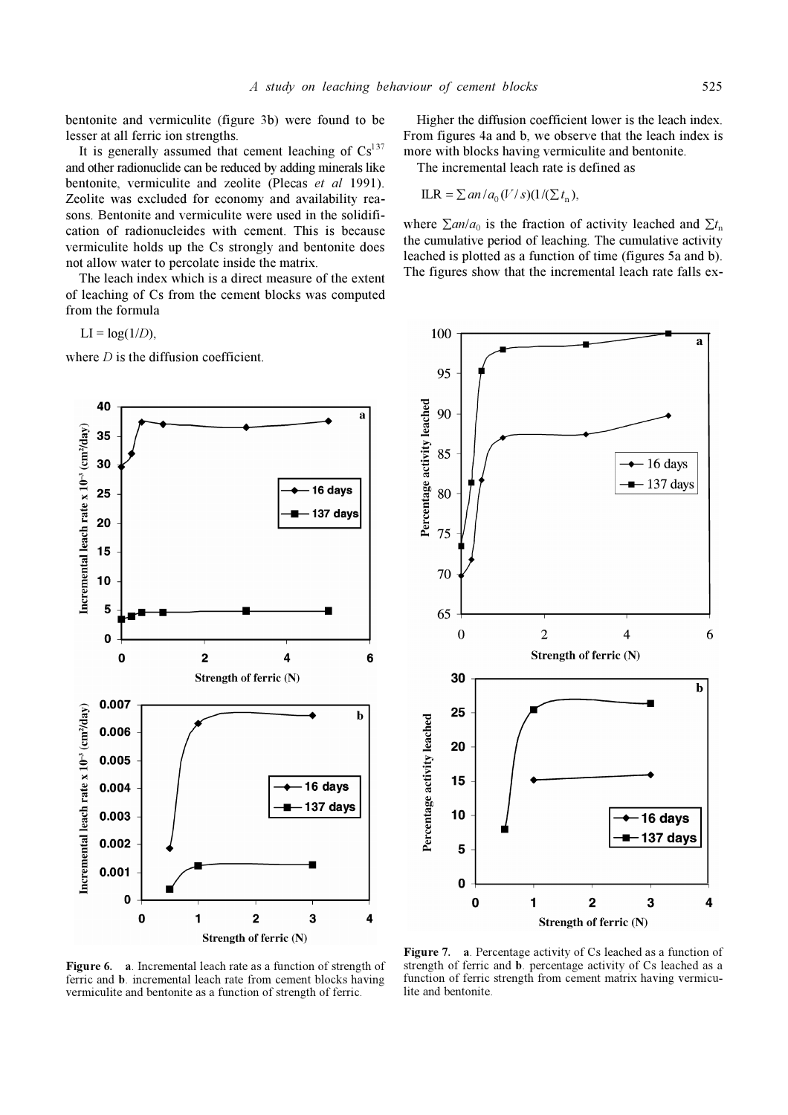bentonite and vermiculite (figure 3b) were found to be lesser at all ferric ion strengths.

It is generally assumed that cement leaching of  $Cs<sup>137</sup>$ and other radionuclide can be reduced by adding minerals like bentonite, vermiculite and zeolite (Plecas et al 1991). Zeolite was excluded for economy and availability reasons. Bentonite and vermiculite were used in the solidification of radionucleides with cement. This is because vermiculite holds up the Cs strongly and bentonite does not allow water to percolate inside the matrix.

 The leach index which is a direct measure of the extent of leaching of Cs from the cement blocks was computed from the formula

 $LI = log(1/D)$ ,

where  $D$  is the diffusion coefficient.

 Higher the diffusion coefficient lower is the leach index. From figures 4a and b, we observe that the leach index is more with blocks having vermiculite and bentonite.

The incremental leach rate is defined as

$$
ILR = \sum an / a_0 (V/s)(1/(\sum t_n))
$$

where  $\Sigma$ an/a<sub>0</sub> is the fraction of activity leached and  $\Sigma t$ <sub>n</sub> the cumulative period of leaching. The cumulative activity leached is plotted as a function of time (figures 5a and b). The figures show that the incremental leach rate falls ex-





Figure 6. a. Incremental leach rate as a function of strength of ferric and b. incremental leach rate from cement blocks having vermiculite and bentonite as a function of strength of ferric.

Figure 7. a. Percentage activity of Cs leached as a function of strength of ferric and b. percentage activity of Cs leached as a function of ferric strength from cement matrix having vermiculite and bentonite.